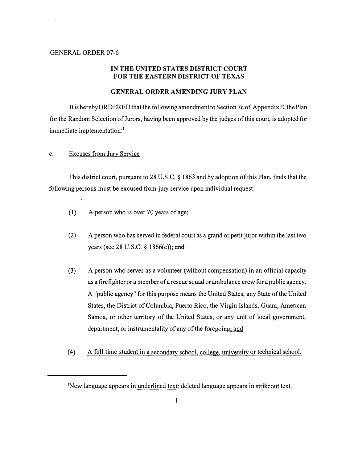## GENERAL ORDER 07-6

 $\sim$   $\pm$ 

## IN THE UNITED STATES DISTRICT COURT FOR THE EASTERN DISTRICT OF TEXAS

 $\mathbf{I}$ 

## GENERAL ORDER AMENDING JURY PLAN

It is hereby ORDERED that the following amendment to Section 7c of Appendix E, the Plan for the Random Selection of Jurors, having been approved by the judges of this court, is adopted for immediate implementation:<sup>1</sup>

## c. Excuses from Jury Service

This district court, pursuant to 28 U.S.C. § 1863 and by adoption of this Plan, finds that the following persons must be excused from jury service upon individual request:

- (1) A person who is over 70 years of age;
- (2) A person who has served in federal court as a grand or petit juror within the last two years (see 28 U.S.C. § 1866(e)); and
- (3) A person who serves as a volunteer (without compensation) in an official capacity as a firefighter or a member of a rescue squad or ambulance crew for a public agency. A "public agency" for this purpose means the United States, any State of the United States, the District of Columbia, Puerto Rico, the Virgin Islands, Guam, American Samoa, or other territory of the United States, or any unit of local government, department, or instrumentality of any of the foregoing; and
- (4) A full-time student in a secondary school, college, university or technical school.

<sup>&</sup>lt;sup>1</sup>New language appears in underlined text; deleted language appears in strikeout text.